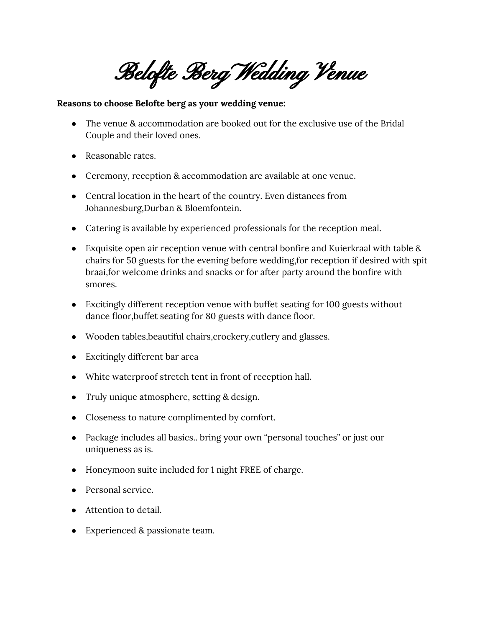Belofte Berg Wedding Venue

## **Reasons to choose Belofte berg as your wedding venue:**

- The venue & accommodation are booked out for the exclusive use of the Bridal Couple and their loved ones.
- Reasonable rates.
- Ceremony, reception & accommodation are available at one venue.
- Central location in the heart of the country. Even distances from Johannesburg,Durban & Bloemfontein.
- Catering is available by experienced professionals for the reception meal.
- Exquisite open air reception venue with central bonfire and Kuierkraal with table & chairs for 50 guests for the evening before wedding,for reception if desired with spit braai,for welcome drinks and snacks or for after party around the bonfire with smores.
- Excitingly different reception venue with buffet seating for 100 guests without dance floor,buffet seating for 80 guests with dance floor.
- Wooden tables,beautiful chairs,crockery,cutlery and glasses.
- Excitingly different bar area
- White waterproof stretch tent in front of reception hall.
- Truly unique atmosphere, setting & design.
- Closeness to nature complimented by comfort.
- Package includes all basics.. bring your own "personal touches" or just our uniqueness as is.
- Honeymoon suite included for 1 night FREE of charge.
- Personal service.
- Attention to detail.
- Experienced & passionate team.